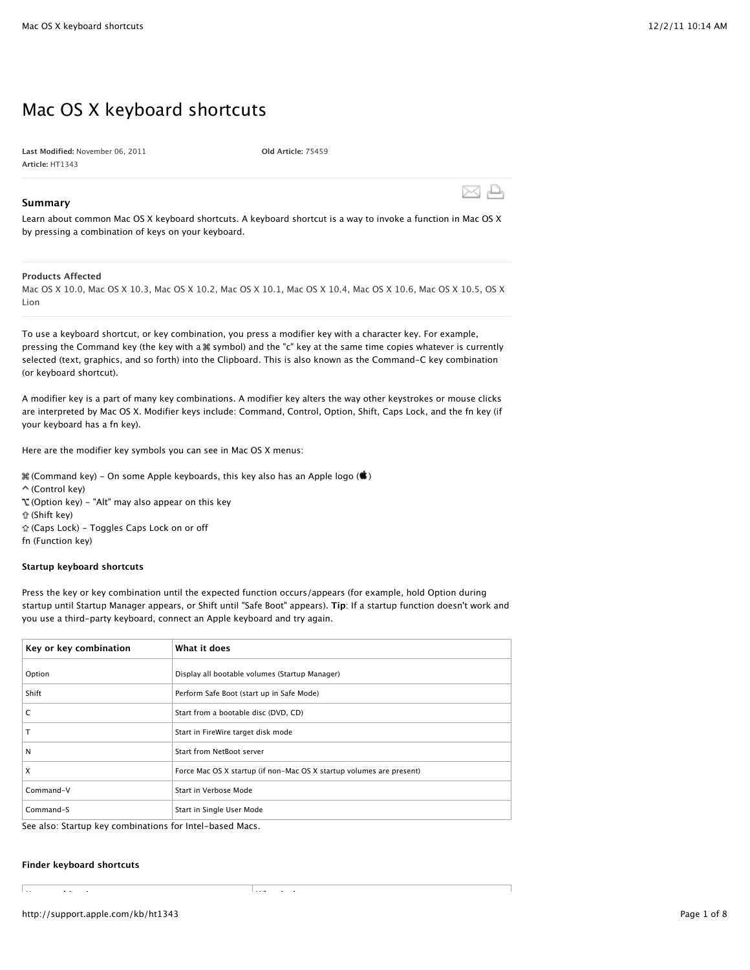# Mac OS X keyboard shortcuts

**Last Modified:** November 06, 2011 **Article:** HT1343

**Old Article:** 75459

# **Summary**

Learn about common Mac OS X keyboard shortcuts. A keyboard shortcut is a way to invoke a function in Mac OS X by pressing a combination of keys on your keyboard.

# **Products Affected**

Mac OS X 10.0, Mac OS X 10.3, Mac OS X 10.2, Mac OS X 10.1, Mac OS X 10.4, Mac OS X 10.6, Mac OS X 10.5, OS X Lion

To use a keyboard shortcut, or key combination, you press a modifier key with a character key. For example, pressing the Command key (the key with a symbol) and the "c" key at the same time copies whatever is currently selected (text, graphics, and so forth) into the Clipboard. This is also known as the Command-C key combination (or keyboard shortcut).

A modifier key is a part of many key combinations. A modifier key alters the way other keystrokes or mouse clicks are interpreted by Mac OS X. Modifier keys include: Command, Control, Option, Shift, Caps Lock, and the fn key (if your keyboard has a fn key).

Here are the modifier key symbols you can see in Mac OS X menus:

- $\mathcal H$  (Command key) On some Apple keyboards, this key also has an Apple logo ( $\hat \bullet$ )
- (Control key)
- (Option key) "Alt" may also appear on this key
- (Shift key)
- (Caps Lock) Toggles Caps Lock on or off
- fn (Function key)

### **Startup keyboard shortcuts**

Press the key or key combination until the expected function occurs/appears (for example, hold Option during startup until Startup Manager appears, or Shift until "Safe Boot" appears). **Tip**: If a startup function doesn't work and you use a third-party keyboard, connect an Apple keyboard and try again.

| Key or key combination | What it does                                                         |
|------------------------|----------------------------------------------------------------------|
| Option                 | Display all bootable volumes (Startup Manager)                       |
| Shift                  | Perform Safe Boot (start up in Safe Mode)                            |
| C                      | Start from a bootable disc (DVD, CD)                                 |
| T                      | Start in FireWire target disk mode                                   |
| N                      | Start from NetBoot server                                            |
| X                      | Force Mac OS X startup (if non-Mac OS X startup volumes are present) |
| Command-V              | Start in Verbose Mode                                                |
| Command-S              | Start in Single User Mode                                            |

See also: Startup key combinations for Intel-based Macs.

#### **Finder keyboard shortcuts**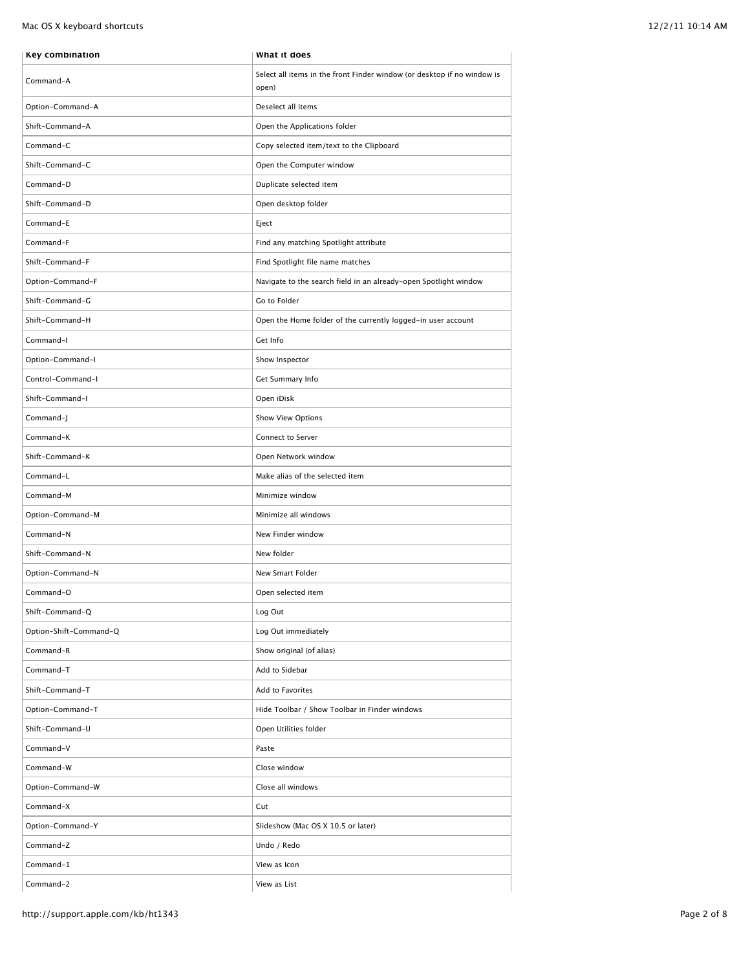Mac OS X keyboard shortcuts and the state of the state of the state of the state of the state of the state of the state of the state of the state of the state of the state of the state of the state of the state of the stat

| Key combination        | What it does                                                                     |
|------------------------|----------------------------------------------------------------------------------|
| Command-A              | Select all items in the front Finder window (or desktop if no window is<br>open) |
| Option-Command-A       | Deselect all items                                                               |
| Shift-Command-A        | Open the Applications folder                                                     |
| Command-C              | Copy selected item/text to the Clipboard                                         |
| Shift-Command-C        | Open the Computer window                                                         |
| Command-D              | Duplicate selected item                                                          |
| Shift-Command-D        | Open desktop folder                                                              |
| Command-E              | Eject                                                                            |
| Command-F              | Find any matching Spotlight attribute                                            |
| Shift-Command-F        | Find Spotlight file name matches                                                 |
| Option-Command-F       | Navigate to the search field in an already-open Spotlight window                 |
| Shift-Command-G        | Go to Folder                                                                     |
| Shift-Command-H        | Open the Home folder of the currently logged-in user account                     |
| Command-I              | Get Info                                                                         |
| Option-Command-I       | Show Inspector                                                                   |
| Control-Command-I      | Get Summary Info                                                                 |
| Shift-Command-I        | Open iDisk                                                                       |
| Command-J              | Show View Options                                                                |
| Command-K              | Connect to Server                                                                |
| Shift-Command-K        | Open Network window                                                              |
| Command-L              | Make alias of the selected item                                                  |
| Command-M              | Minimize window                                                                  |
| Option-Command-M       | Minimize all windows                                                             |
| Command-N              | New Finder window                                                                |
| Shift-Command-N        | New folder                                                                       |
| Option-Command-N       | New Smart Folder                                                                 |
| Command-O              | Open selected item                                                               |
| Shift-Command-Q        | Log Out                                                                          |
| Option-Shift-Command-Q | Log Out immediately                                                              |
| Command-R              | Show original (of alias)                                                         |
| Command-T              | Add to Sidebar                                                                   |
| Shift-Command-T        | Add to Favorites                                                                 |
| Option-Command-T       | Hide Toolbar / Show Toolbar in Finder windows                                    |
| Shift-Command-U        | Open Utilities folder                                                            |
| Command-V              | Paste                                                                            |
| Command-W              | Close window                                                                     |
| Option-Command-W       | Close all windows                                                                |
| Command-X              | Cut                                                                              |
| Option-Command-Y       | Slideshow (Mac OS X 10.5 or later)                                               |
| Command-Z              | Undo / Redo                                                                      |
| Command-1              | View as Icon                                                                     |
| Command-2              | View as List                                                                     |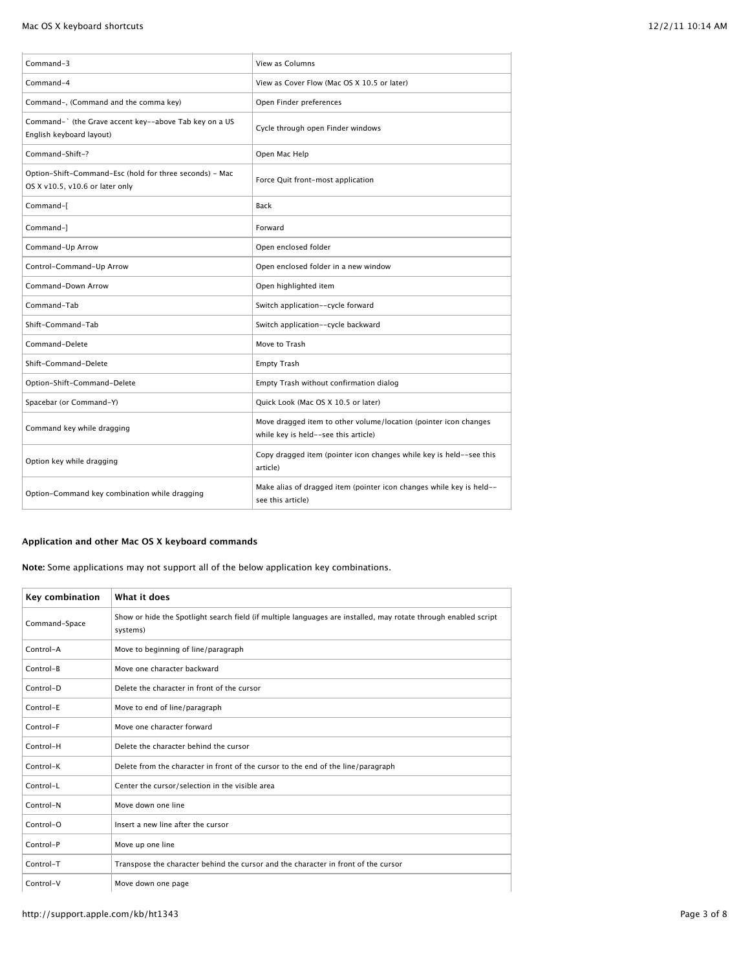| Command-3                                                                                  | View as Columns                                                                                          |
|--------------------------------------------------------------------------------------------|----------------------------------------------------------------------------------------------------------|
| Command-4                                                                                  | View as Cover Flow (Mac OS X 10.5 or later)                                                              |
| Command-, (Command and the comma key)                                                      | Open Finder preferences                                                                                  |
| Command-` (the Grave accent key--above Tab key on a US<br>English keyboard layout)         | Cycle through open Finder windows                                                                        |
| Command-Shift-?                                                                            | Open Mac Help                                                                                            |
| Option-Shift-Command-Esc (hold for three seconds) - Mac<br>OS X v10.5, v10.6 or later only | Force Quit front-most application                                                                        |
| Command-[                                                                                  | <b>Back</b>                                                                                              |
| Command-1                                                                                  | Forward                                                                                                  |
| Command-Up Arrow                                                                           | Open enclosed folder                                                                                     |
| Control-Command-Up Arrow                                                                   | Open enclosed folder in a new window                                                                     |
| Command-Down Arrow                                                                         | Open highlighted item                                                                                    |
| Command-Tab                                                                                | Switch application--cycle forward                                                                        |
| Shift-Command-Tab                                                                          | Switch application--cycle backward                                                                       |
| Command-Delete                                                                             | Move to Trash                                                                                            |
| Shift-Command-Delete                                                                       | <b>Empty Trash</b>                                                                                       |
| Option-Shift-Command-Delete                                                                | Empty Trash without confirmation dialog                                                                  |
| Spacebar (or Command-Y)                                                                    | Quick Look (Mac OS X 10.5 or later)                                                                      |
| Command key while dragging                                                                 | Move dragged item to other volume/location (pointer icon changes<br>while key is held--see this article) |
| Option key while dragging                                                                  | Copy dragged item (pointer icon changes while key is held--see this<br>article)                          |
| Option-Command key combination while dragging                                              | Make alias of dragged item (pointer icon changes while key is held--<br>see this article)                |

# **Application and other Mac OS X keyboard commands**

**Note:** Some applications may not support all of the below application key combinations.

| Key combination | What it does                                                                                                                |
|-----------------|-----------------------------------------------------------------------------------------------------------------------------|
| Command-Space   | Show or hide the Spotlight search field (if multiple languages are installed, may rotate through enabled script<br>systems) |
| Control-A       | Move to beginning of line/paragraph                                                                                         |
| Control-B       | Move one character backward                                                                                                 |
| Control-D       | Delete the character in front of the cursor                                                                                 |
| Control-E       | Move to end of line/paragraph                                                                                               |
| Control-F       | Move one character forward                                                                                                  |
| Control-H       | Delete the character behind the cursor                                                                                      |
| Control-K       | Delete from the character in front of the cursor to the end of the line/paragraph                                           |
| Control-L       | Center the cursor/selection in the visible area                                                                             |
| Control-N       | Move down one line                                                                                                          |
| Control-O       | Insert a new line after the cursor                                                                                          |
| Control-P       | Move up one line                                                                                                            |
| Control-T       | Transpose the character behind the cursor and the character in front of the cursor                                          |
| Control-V       | Move down one page                                                                                                          |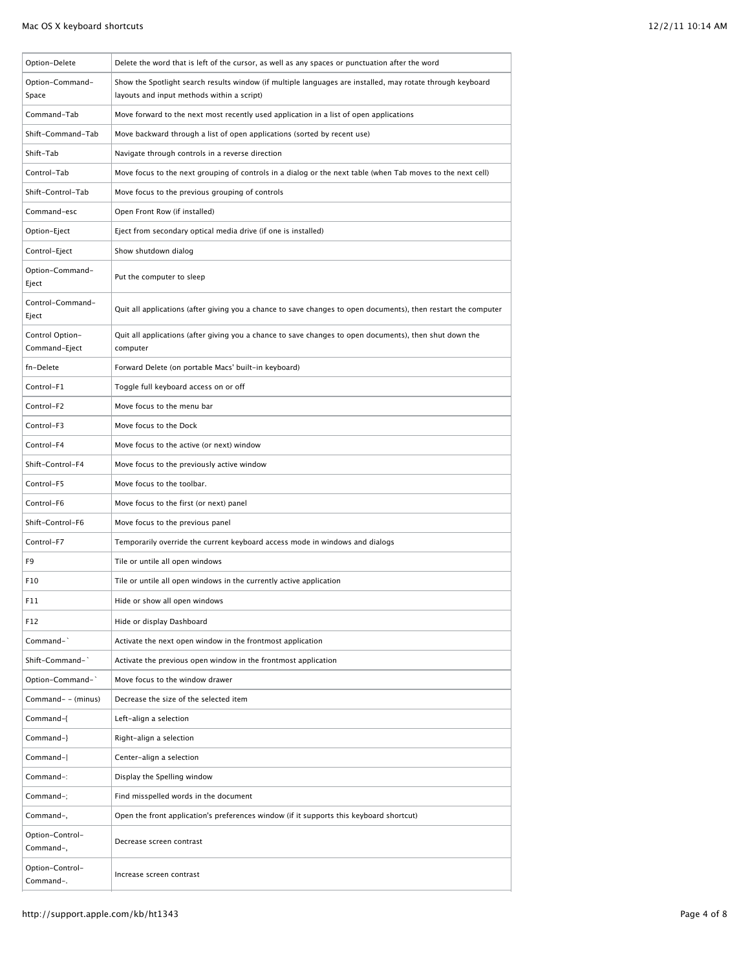| Option-Delete                    | Delete the word that is left of the cursor, as well as any spaces or punctuation after the word                                                          |
|----------------------------------|----------------------------------------------------------------------------------------------------------------------------------------------------------|
| Option-Command-<br>Space         | Show the Spotlight search results window (if multiple languages are installed, may rotate through keyboard<br>layouts and input methods within a script) |
| Command-Tab                      | Move forward to the next most recently used application in a list of open applications                                                                   |
| Shift-Command-Tab                | Move backward through a list of open applications (sorted by recent use)                                                                                 |
| Shift-Tab                        | Navigate through controls in a reverse direction                                                                                                         |
| Control-Tab                      | Move focus to the next grouping of controls in a dialog or the next table (when Tab moves to the next cell)                                              |
| Shift-Control-Tab                | Move focus to the previous grouping of controls                                                                                                          |
| Command-esc                      | Open Front Row (if installed)                                                                                                                            |
| Option-Eject                     | Eject from secondary optical media drive (if one is installed)                                                                                           |
| Control-Eject                    | Show shutdown dialog                                                                                                                                     |
| Option-Command-<br>Eject         | Put the computer to sleep                                                                                                                                |
| Control-Command-<br>Eject        | Quit all applications (after giving you a chance to save changes to open documents), then restart the computer                                           |
| Control Option-<br>Command-Eject | Quit all applications (after giving you a chance to save changes to open documents), then shut down the<br>computer                                      |
| fn-Delete                        | Forward Delete (on portable Macs' built-in keyboard)                                                                                                     |
| Control-F1                       | Toggle full keyboard access on or off                                                                                                                    |
| Control-F2                       | Move focus to the menu bar                                                                                                                               |
| Control-F3                       | Move focus to the Dock                                                                                                                                   |
| Control-F4                       | Move focus to the active (or next) window                                                                                                                |
| Shift-Control-F4                 | Move focus to the previously active window                                                                                                               |
| Control-F5                       | Move focus to the toolbar.                                                                                                                               |
| Control-F6                       | Move focus to the first (or next) panel                                                                                                                  |
| Shift-Control-F6                 | Move focus to the previous panel                                                                                                                         |
| Control-F7                       | Temporarily override the current keyboard access mode in windows and dialogs                                                                             |
| F <sub>9</sub>                   | Tile or untile all open windows                                                                                                                          |
| F10                              | Tile or untile all open windows in the currently active application                                                                                      |
| F11                              | Hide or show all open windows                                                                                                                            |
| F12                              | Hide or display Dashboard                                                                                                                                |
| Command-`                        | Activate the next open window in the frontmost application                                                                                               |
| Shift-Command-`                  | Activate the previous open window in the frontmost application                                                                                           |
| Option-Command-`                 | Move focus to the window drawer                                                                                                                          |
| Command- - (minus)               | Decrease the size of the selected item                                                                                                                   |
| Command-{                        | Left-align a selection                                                                                                                                   |
| Command-}                        | Right-align a selection                                                                                                                                  |
| Command-                         | Center-align a selection                                                                                                                                 |
| Command-:                        | Display the Spelling window                                                                                                                              |
| Command-;                        | Find misspelled words in the document                                                                                                                    |
| Command-,                        | Open the front application's preferences window (if it supports this keyboard shortcut)                                                                  |
| Option-Control-<br>Command-,     | Decrease screen contrast                                                                                                                                 |
| Option-Control-<br>Command-.     | Increase screen contrast                                                                                                                                 |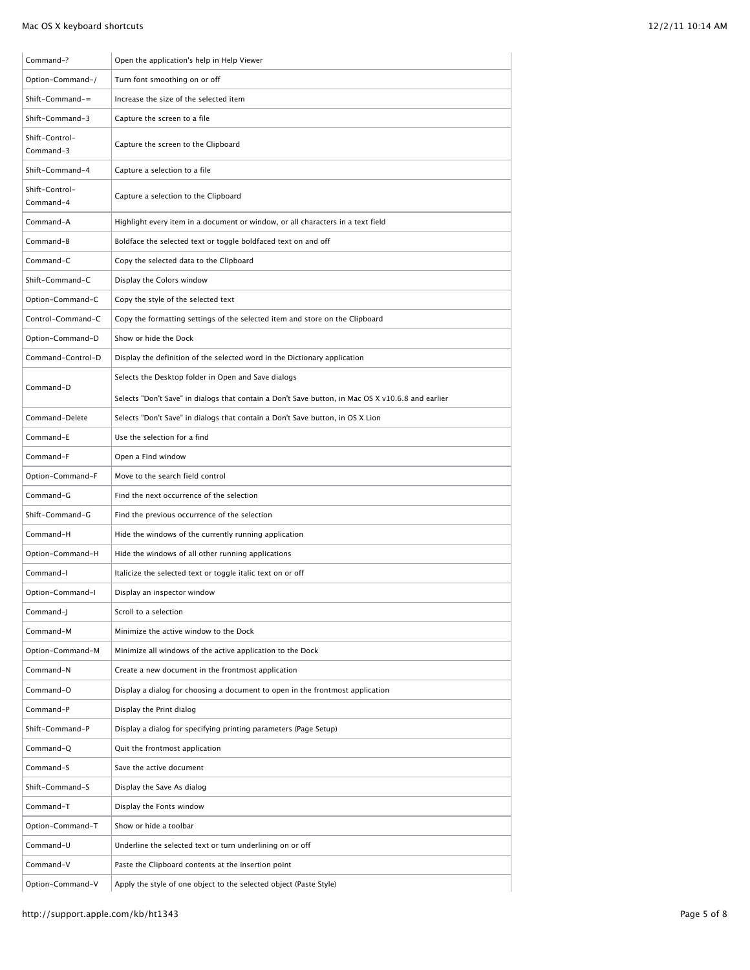| Command-?                   | Open the application's help in Help Viewer                                                        |
|-----------------------------|---------------------------------------------------------------------------------------------------|
| Option-Command-/            | Turn font smoothing on or off                                                                     |
| $Shift-Command =$           | Increase the size of the selected item                                                            |
| Shift-Command-3             | Capture the screen to a file                                                                      |
| Shift-Control-<br>Command-3 | Capture the screen to the Clipboard                                                               |
| Shift-Command-4             | Capture a selection to a file                                                                     |
| Shift-Control-<br>Command-4 | Capture a selection to the Clipboard                                                              |
| Command-A                   | Highlight every item in a document or window, or all characters in a text field                   |
| Command-B                   | Boldface the selected text or toggle boldfaced text on and off                                    |
| Command-C                   | Copy the selected data to the Clipboard                                                           |
| Shift-Command-C             | Display the Colors window                                                                         |
| Option-Command-C            | Copy the style of the selected text                                                               |
| Control-Command-C           | Copy the formatting settings of the selected item and store on the Clipboard                      |
| Option-Command-D            | Show or hide the Dock                                                                             |
| Command-Control-D           | Display the definition of the selected word in the Dictionary application                         |
|                             | Selects the Desktop folder in Open and Save dialogs                                               |
| Command-D                   | Selects "Don't Save" in dialogs that contain a Don't Save button, in Mac OS X v10.6.8 and earlier |
| Command-Delete              | Selects "Don't Save" in dialogs that contain a Don't Save button, in OS X Lion                    |
| Command-E                   | Use the selection for a find                                                                      |
| Command-F                   | Open a Find window                                                                                |
| Option-Command-F            | Move to the search field control                                                                  |
| Command-G                   | Find the next occurrence of the selection                                                         |
| Shift-Command-G             | Find the previous occurrence of the selection                                                     |
| Command-H                   | Hide the windows of the currently running application                                             |
| Option-Command-H            | Hide the windows of all other running applications                                                |
| Command-I                   | Italicize the selected text or toggle italic text on or off                                       |
| Option-Command-I            | Display an inspector window                                                                       |
| Command-J                   | Scroll to a selection                                                                             |
| Command-M                   | Minimize the active window to the Dock                                                            |
| Option-Command-M            | Minimize all windows of the active application to the Dock                                        |
| Command-N                   | Create a new document in the frontmost application                                                |
| Command-O                   | Display a dialog for choosing a document to open in the frontmost application                     |
| Command-P                   | Display the Print dialog                                                                          |
| Shift-Command-P             | Display a dialog for specifying printing parameters (Page Setup)                                  |
| Command-Q                   | Quit the frontmost application                                                                    |
| Command-S                   | Save the active document                                                                          |
| Shift-Command-S             | Display the Save As dialog                                                                        |
| Command-T                   | Display the Fonts window                                                                          |
| Option-Command-T            | Show or hide a toolbar                                                                            |
| Command-U                   | Underline the selected text or turn underlining on or off                                         |
| Command-V                   | Paste the Clipboard contents at the insertion point                                               |
| Option-Command-V            | Apply the style of one object to the selected object (Paste Style)                                |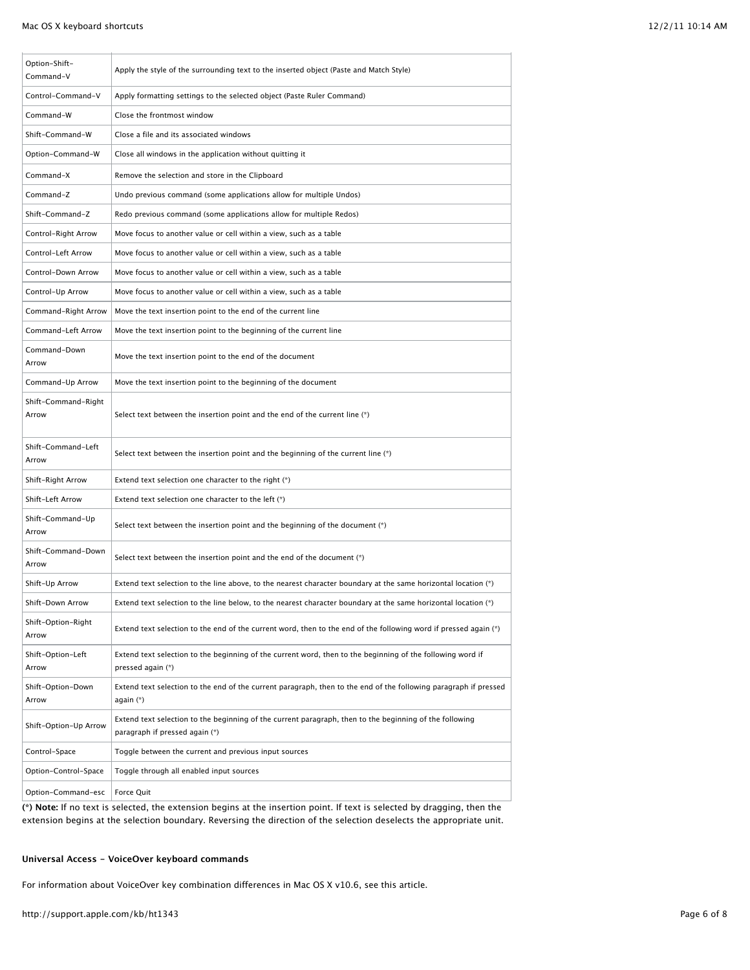| Option-Shift-<br>Command-V   | Apply the style of the surrounding text to the inserted object (Paste and Match Style)                                                    |
|------------------------------|-------------------------------------------------------------------------------------------------------------------------------------------|
| Control-Command-V            | Apply formatting settings to the selected object (Paste Ruler Command)                                                                    |
| Command-W                    | Close the frontmost window                                                                                                                |
| Shift-Command-W              | Close a file and its associated windows                                                                                                   |
| Option-Command-W             | Close all windows in the application without quitting it                                                                                  |
| Command-X                    | Remove the selection and store in the Clipboard                                                                                           |
| Command-Z                    | Undo previous command (some applications allow for multiple Undos)                                                                        |
| Shift-Command-Z              | Redo previous command (some applications allow for multiple Redos)                                                                        |
| Control-Right Arrow          | Move focus to another value or cell within a view, such as a table                                                                        |
| Control-Left Arrow           | Move focus to another value or cell within a view, such as a table                                                                        |
| Control-Down Arrow           | Move focus to another value or cell within a view, such as a table                                                                        |
| Control-Up Arrow             | Move focus to another value or cell within a view, such as a table                                                                        |
| Command-Right Arrow          | Move the text insertion point to the end of the current line                                                                              |
| Command-Left Arrow           | Move the text insertion point to the beginning of the current line                                                                        |
| Command-Down<br>Arrow        | Move the text insertion point to the end of the document                                                                                  |
| Command-Up Arrow             | Move the text insertion point to the beginning of the document                                                                            |
| Shift-Command-Right<br>Arrow | Select text between the insertion point and the end of the current line (*)                                                               |
| Shift-Command-Left<br>Arrow  | Select text between the insertion point and the beginning of the current line (*)                                                         |
| Shift-Right Arrow            | Extend text selection one character to the right (*)                                                                                      |
| Shift-Left Arrow             | Extend text selection one character to the left (*)                                                                                       |
| Shift-Command-Up<br>Arrow    | Select text between the insertion point and the beginning of the document (*)                                                             |
| Shift-Command-Down<br>Arrow  | Select text between the insertion point and the end of the document (*)                                                                   |
| Shift-Up Arrow               | Extend text selection to the line above, to the nearest character boundary at the same horizontal location (*)                            |
| Shift-Down Arrow             | Extend text selection to the line below, to the nearest character boundary at the same horizontal location (*)                            |
| Shift-Option-Right<br>Arrow  | Extend text selection to the end of the current word, then to the end of the following word if pressed again (*)                          |
| Shift-Option-Left<br>Arrow   | Extend text selection to the beginning of the current word, then to the beginning of the following word if<br>pressed again (*)           |
| Shift-Option-Down<br>Arrow   | Extend text selection to the end of the current paragraph, then to the end of the following paragraph if pressed<br>again (*)             |
| Shift-Option-Up Arrow        | Extend text selection to the beginning of the current paragraph, then to the beginning of the following<br>paragraph if pressed again (*) |
| Control-Space                | Toggle between the current and previous input sources                                                                                     |
| Option-Control-Space         | Toggle through all enabled input sources                                                                                                  |
| Option-Command-esc           | Force Quit                                                                                                                                |

**(\*) Note:** If no text is selected, the extension begins at the insertion point. If text is selected by dragging, then the extension begins at the selection boundary. Reversing the direction of the selection deselects the appropriate unit.

## **Universal Access - VoiceOver keyboard commands**

For information about VoiceOver key combination differences in Mac OS X v10.6, see this article.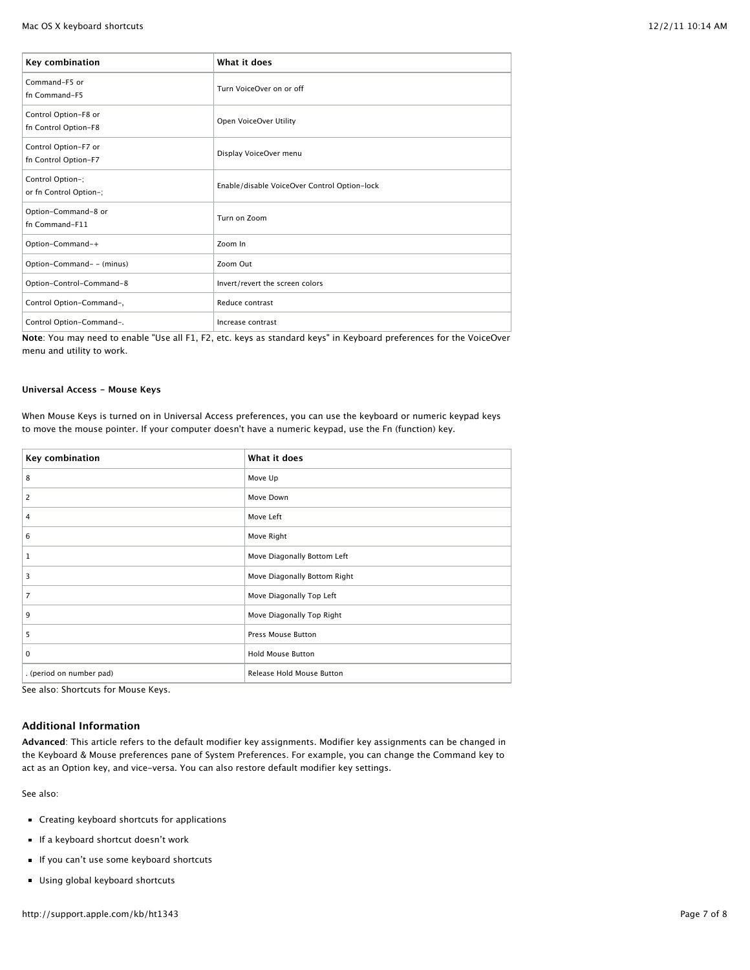| Key combination                              | What it does                                 |
|----------------------------------------------|----------------------------------------------|
| Command-F5 or<br>fn Command-F5               | Turn VoiceOver on or off                     |
| Control Option-F8 or<br>fn Control Option-F8 | Open VoiceOver Utility                       |
| Control Option-F7 or<br>fn Control Option-F7 | Display VoiceOver menu                       |
| Control Option-;<br>or fn Control Option-;   | Enable/disable VoiceOver Control Option-lock |
| Option-Command-8 or<br>fn Command-F11        | Turn on Zoom                                 |
| Option-Command-+                             | Zoom In                                      |
| Option-Command- - (minus)                    | Zoom Out                                     |
| Option-Control-Command-8                     | Invert/revert the screen colors              |
| Control Option-Command-,                     | Reduce contrast                              |
| Control Option-Command-.                     | Increase contrast                            |

**Note**: You may need to enable "Use all F1, F2, etc. keys as standard keys" in Keyboard preferences for the VoiceOver menu and utility to work.

## **Universal Access - Mouse Keys**

When Mouse Keys is turned on in Universal Access preferences, you can use the keyboard or numeric keypad keys to move the mouse pointer. If your computer doesn't have a numeric keypad, use the Fn (function) key.

| Key combination          | What it does                 |
|--------------------------|------------------------------|
| 8                        | Move Up                      |
| 2                        | Move Down                    |
| 4                        | Move Left                    |
| 6                        | Move Right                   |
| 1                        | Move Diagonally Bottom Left  |
| 3                        | Move Diagonally Bottom Right |
| $\overline{7}$           | Move Diagonally Top Left     |
| 9                        | Move Diagonally Top Right    |
| 5                        | Press Mouse Button           |
| 0                        | Hold Mouse Button            |
| . (period on number pad) | Release Hold Mouse Button    |

See also: Shortcuts for Mouse Keys.

# **Additional Information**

**Advanced**: This article refers to the default modifier key assignments. Modifier key assignments can be changed in the Keyboard & Mouse preferences pane of System Preferences. For example, you can change the Command key to act as an Option key, and vice-versa. You can also restore default modifier key settings.

See also:

- Creating keyboard shortcuts for applications
- If a keyboard shortcut doesn't work
- If you can't use some keyboard shortcuts
- Using global keyboard shortcuts